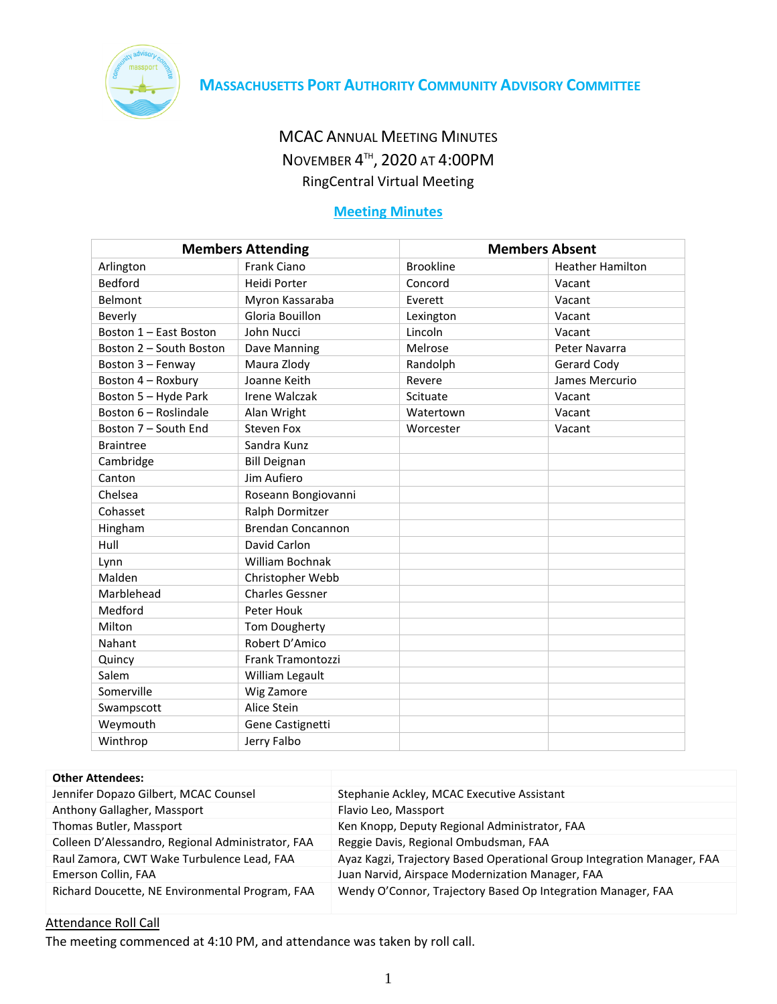

# MCAC ANNUAL MEETING MINUTES NOVEMBER 4<sup>TH</sup>, 2020 AT 4:00PM RingCentral Virtual Meeting

# **Meeting Minutes**

| <b>Members Attending</b> |                          | <b>Members Absent</b> |                         |
|--------------------------|--------------------------|-----------------------|-------------------------|
| Arlington                | <b>Frank Ciano</b>       | <b>Brookline</b>      | <b>Heather Hamilton</b> |
| <b>Bedford</b>           | Heidi Porter             | Concord               | Vacant                  |
| Belmont                  | Myron Kassaraba          | Everett               | Vacant                  |
| Beverly                  | Gloria Bouillon          | Lexington             | Vacant                  |
| Boston 1 - East Boston   | John Nucci               | Lincoln               | Vacant                  |
| Boston 2 - South Boston  | Dave Manning             | Melrose               | Peter Navarra           |
| Boston 3 - Fenway        | Maura Zlody              | Randolph              | Gerard Cody             |
| Boston 4 - Roxbury       | Joanne Keith             | Revere                | James Mercurio          |
| Boston 5 - Hyde Park     | Irene Walczak            | Scituate              | Vacant                  |
| Boston 6 - Roslindale    | Alan Wright              | Watertown             | Vacant                  |
| Boston 7 - South End     | <b>Steven Fox</b>        | Worcester             | Vacant                  |
| <b>Braintree</b>         | Sandra Kunz              |                       |                         |
| Cambridge                | <b>Bill Deignan</b>      |                       |                         |
| Canton                   | Jim Aufiero              |                       |                         |
| Chelsea                  | Roseann Bongiovanni      |                       |                         |
| Cohasset                 | Ralph Dormitzer          |                       |                         |
| Hingham                  | <b>Brendan Concannon</b> |                       |                         |
| Hull                     | David Carlon             |                       |                         |
| Lynn                     | William Bochnak          |                       |                         |
| Malden                   | Christopher Webb         |                       |                         |
| Marblehead               | <b>Charles Gessner</b>   |                       |                         |
| Medford                  | Peter Houk               |                       |                         |
| Milton                   | Tom Dougherty            |                       |                         |
| Nahant                   | Robert D'Amico           |                       |                         |
| Quincy                   | Frank Tramontozzi        |                       |                         |
| Salem                    | William Legault          |                       |                         |
| Somerville               | Wig Zamore               |                       |                         |
| Swampscott               | Alice Stein              |                       |                         |
| Weymouth                 | Gene Castignetti         |                       |                         |
| Winthrop                 | Jerry Falbo              |                       |                         |

#### **Other Attendees:**

| Jennifer Dopazo Gilbert, MCAC Counsel             | Stephanie Ackley, MCAC Executive Assistant                              |
|---------------------------------------------------|-------------------------------------------------------------------------|
| Anthony Gallagher, Massport                       | Flavio Leo, Massport                                                    |
| Thomas Butler, Massport                           | Ken Knopp, Deputy Regional Administrator, FAA                           |
| Colleen D'Alessandro, Regional Administrator, FAA | Reggie Davis, Regional Ombudsman, FAA                                   |
| Raul Zamora, CWT Wake Turbulence Lead, FAA        | Ayaz Kagzi, Trajectory Based Operational Group Integration Manager, FAA |
| Emerson Collin, FAA                               | Juan Narvid, Airspace Modernization Manager, FAA                        |
| Richard Doucette, NE Environmental Program, FAA   | Wendy O'Connor, Trajectory Based Op Integration Manager, FAA            |

# Attendance Roll Call

The meeting commenced at 4:10 PM, and attendance was taken by roll call.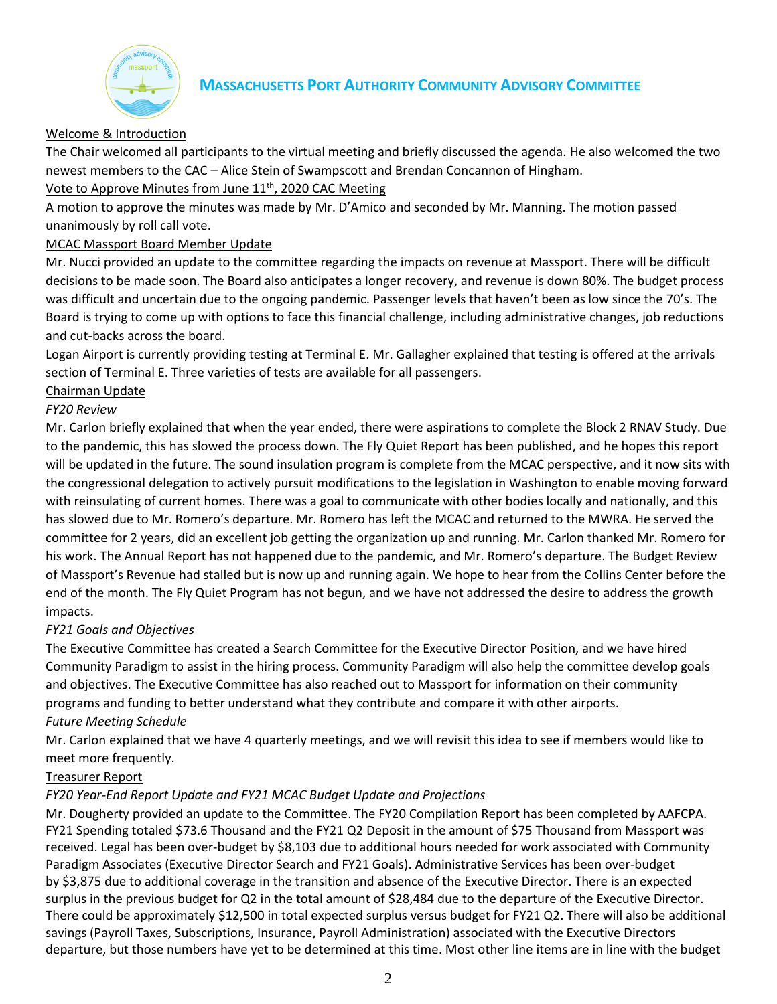

## Welcome & Introduction

The Chair welcomed all participants to the virtual meeting and briefly discussed the agenda. He also welcomed the two newest members to the CAC – Alice Stein of Swampscott and Brendan Concannon of Hingham.

Vote to Approve Minutes from June 11<sup>th</sup>, 2020 CAC Meeting

A motion to approve the minutes was made by Mr. D'Amico and seconded by Mr. Manning. The motion passed unanimously by roll call vote.

## MCAC Massport Board Member Update

Mr. Nucci provided an update to the committee regarding the impacts on revenue at Massport. There will be difficult decisions to be made soon. The Board also anticipates a longer recovery, and revenue is down 80%. The budget process was difficult and uncertain due to the ongoing pandemic. Passenger levels that haven't been as low since the 70's. The Board is trying to come up with options to face this financial challenge, including administrative changes, job reductions and cut-backs across the board.

Logan Airport is currently providing testing at Terminal E. Mr. Gallagher explained that testing is offered at the arrivals section of Terminal E. Three varieties of tests are available for all passengers.

## Chairman Update

## *FY20 Review*

Mr. Carlon briefly explained that when the year ended, there were aspirations to complete the Block 2 RNAV Study. Due to the pandemic, this has slowed the process down. The Fly Quiet Report has been published, and he hopes this report will be updated in the future. The sound insulation program is complete from the MCAC perspective, and it now sits with the congressional delegation to actively pursuit modifications to the legislation in Washington to enable moving forward with reinsulating of current homes. There was a goal to communicate with other bodies locally and nationally, and this has slowed due to Mr. Romero's departure. Mr. Romero has left the MCAC and returned to the MWRA. He served the committee for 2 years, did an excellent job getting the organization up and running. Mr. Carlon thanked Mr. Romero for his work. The Annual Report has not happened due to the pandemic, and Mr. Romero's departure. The Budget Review of Massport's Revenue had stalled but is now up and running again. We hope to hear from the Collins Center before the end of the month. The Fly Quiet Program has not begun, and we have not addressed the desire to address the growth impacts.

## *FY21 Goals and Objectives*

The Executive Committee has created a Search Committee for the Executive Director Position, and we have hired Community Paradigm to assist in the hiring process. Community Paradigm will also help the committee develop goals and objectives. The Executive Committee has also reached out to Massport for information on their community programs and funding to better understand what they contribute and compare it with other airports.

## *Future Meeting Schedule*

Mr. Carlon explained that we have 4 quarterly meetings, and we will revisit this idea to see if members would like to meet more frequently.

## Treasurer Report

## *FY20 Year-End Report Update and FY21 MCAC Budget Update and Projections*

Mr. Dougherty provided an update to the Committee. The FY20 Compilation Report has been completed by AAFCPA. FY21 Spending totaled \$73.6 Thousand and the FY21 Q2 Deposit in the amount of \$75 Thousand from Massport was received. Legal has been over-budget by \$8,103 due to additional hours needed for work associated with Community Paradigm Associates (Executive Director Search and FY21 Goals). Administrative Services has been over-budget by \$3,875 due to additional coverage in the transition and absence of the Executive Director. There is an expected surplus in the previous budget for Q2 in the total amount of \$28,484 due to the departure of the Executive Director. There could be approximately \$12,500 in total expected surplus versus budget for FY21 Q2. There will also be additional savings (Payroll Taxes, Subscriptions, Insurance, Payroll Administration) associated with the Executive Directors departure, but those numbers have yet to be determined at this time. Most other line items are in line with the budget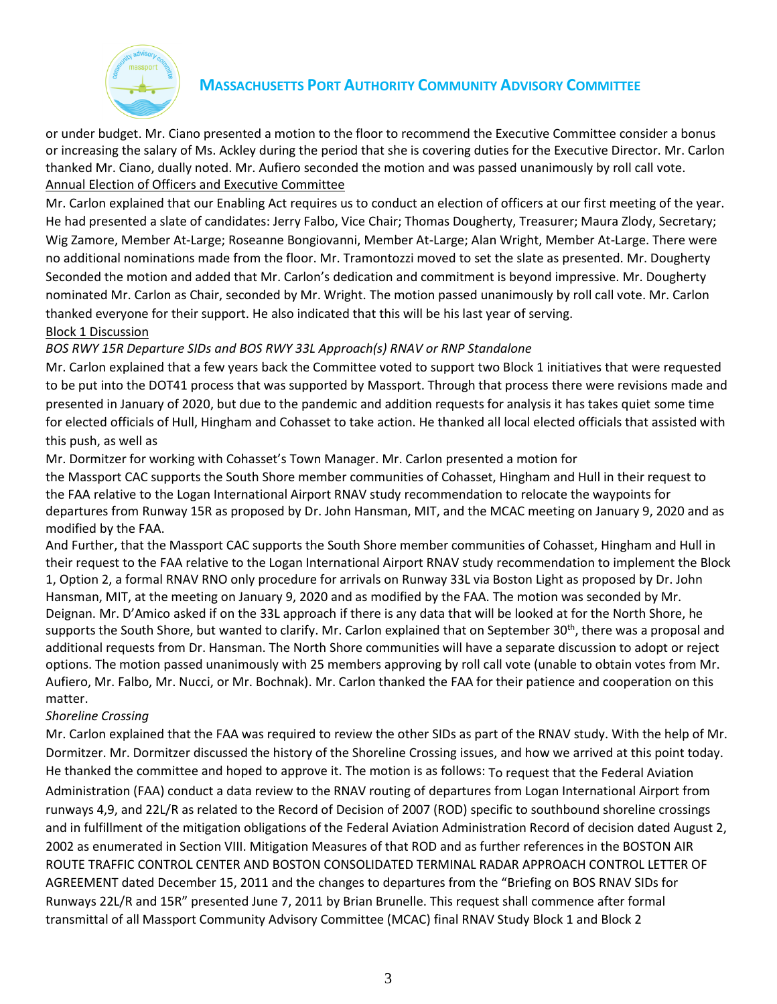

or under budget. Mr. Ciano presented a motion to the floor to recommend the Executive Committee consider a bonus or increasing the salary of Ms. Ackley during the period that she is covering duties for the Executive Director. Mr. Carlon thanked Mr. Ciano, dually noted. Mr. Aufiero seconded the motion and was passed unanimously by roll call vote. Annual Election of Officers and Executive Committee

Mr. Carlon explained that our Enabling Act requires us to conduct an election of officers at our first meeting of the year. He had presented a slate of candidates: Jerry Falbo, Vice Chair; Thomas Dougherty, Treasurer; Maura Zlody, Secretary; Wig Zamore, Member At-Large; Roseanne Bongiovanni, Member At-Large; Alan Wright, Member At-Large. There were no additional nominations made from the floor. Mr. Tramontozzi moved to set the slate as presented. Mr. Dougherty Seconded the motion and added that Mr. Carlon's dedication and commitment is beyond impressive. Mr. Dougherty nominated Mr. Carlon as Chair, seconded by Mr. Wright. The motion passed unanimously by roll call vote. Mr. Carlon thanked everyone for their support. He also indicated that this will be his last year of serving.

#### Block 1 Discussion

## *BOS RWY 15R Departure SIDs and BOS RWY 33L Approach(s) RNAV or RNP Standalone*

Mr. Carlon explained that a few years back the Committee voted to support two Block 1 initiatives that were requested to be put into the DOT41 process that was supported by Massport. Through that process there were revisions made and presented in January of 2020, but due to the pandemic and addition requests for analysis it has takes quiet some time for elected officials of Hull, Hingham and Cohasset to take action. He thanked all local elected officials that assisted with this push, as well as

Mr. Dormitzer for working with Cohasset's Town Manager. Mr. Carlon presented a motion for

the Massport CAC supports the South Shore member communities of Cohasset, Hingham and Hull in their request to the FAA relative to the Logan International Airport RNAV study recommendation to relocate the waypoints for departures from Runway 15R as proposed by Dr. John Hansman, MIT, and the MCAC meeting on January 9, 2020 and as modified by the FAA.

And Further, that the Massport CAC supports the South Shore member communities of Cohasset, Hingham and Hull in their request to the FAA relative to the Logan International Airport RNAV study recommendation to implement the Block 1, Option 2, a formal RNAV RNO only procedure for arrivals on Runway 33L via Boston Light as proposed by Dr. John Hansman, MIT, at the meeting on January 9, 2020 and as modified by the FAA. The motion was seconded by Mr. Deignan. Mr. D'Amico asked if on the 33L approach if there is any data that will be looked at for the North Shore, he supports the South Shore, but wanted to clarify. Mr. Carlon explained that on September 30<sup>th</sup>, there was a proposal and additional requests from Dr. Hansman. The North Shore communities will have a separate discussion to adopt or reject options. The motion passed unanimously with 25 members approving by roll call vote (unable to obtain votes from Mr. Aufiero, Mr. Falbo, Mr. Nucci, or Mr. Bochnak). Mr. Carlon thanked the FAA for their patience and cooperation on this matter.

#### *Shoreline Crossing*

Mr. Carlon explained that the FAA was required to review the other SIDs as part of the RNAV study. With the help of Mr. Dormitzer. Mr. Dormitzer discussed the history of the Shoreline Crossing issues, and how we arrived at this point today. He thanked the committee and hoped to approve it. The motion is as follows: To request that the Federal Aviation Administration (FAA) conduct a data review to the RNAV routing of departures from Logan International Airport from runways 4,9, and 22L/R as related to the Record of Decision of 2007 (ROD) specific to southbound shoreline crossings and in fulfillment of the mitigation obligations of the Federal Aviation Administration Record of decision dated August 2, 2002 as enumerated in Section VIII. Mitigation Measures of that ROD and as further references in the BOSTON AIR ROUTE TRAFFIC CONTROL CENTER AND BOSTON CONSOLIDATED TERMINAL RADAR APPROACH CONTROL LETTER OF AGREEMENT dated December 15, 2011 and the changes to departures from the "Briefing on BOS RNAV SIDs for Runways 22L/R and 15R" presented June 7, 2011 by Brian Brunelle. This request shall commence after formal transmittal of all Massport Community Advisory Committee (MCAC) final RNAV Study Block 1 and Block 2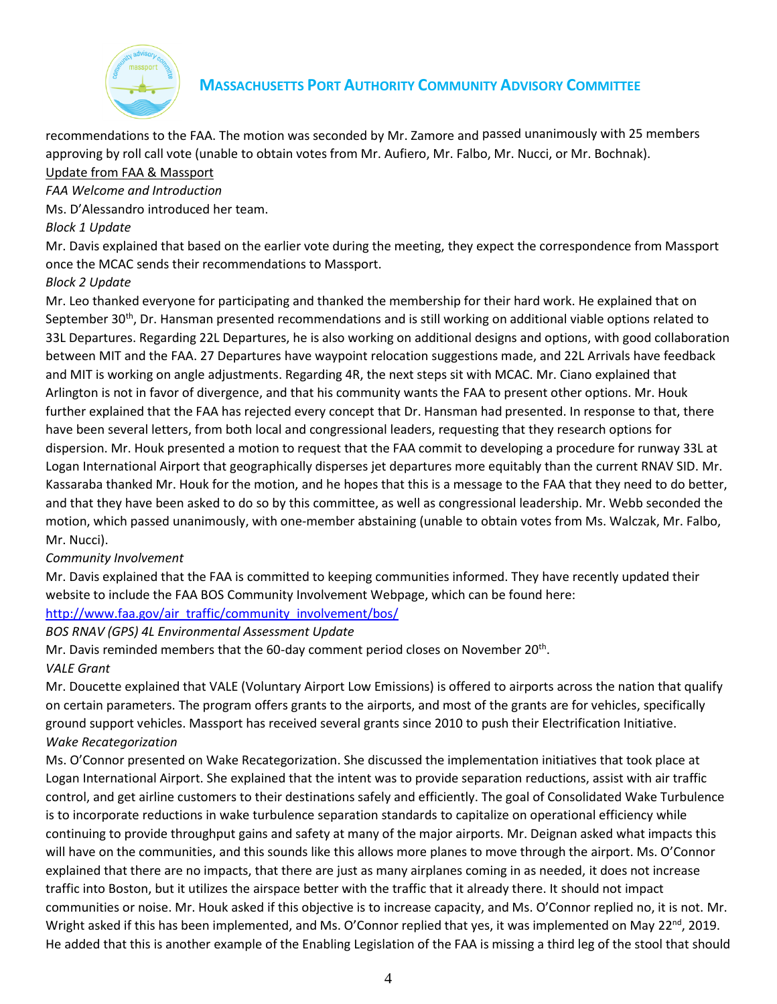

recommendations to the FAA. The motion was seconded by Mr. Zamore and passed unanimously with 25 members approving by roll call vote (unable to obtain votes from Mr. Aufiero, Mr. Falbo, Mr. Nucci, or Mr. Bochnak). Update from FAA & Massport

#### *FAA Welcome and Introduction*

Ms. D'Alessandro introduced her team.

## *Block 1 Update*

Mr. Davis explained that based on the earlier vote during the meeting, they expect the correspondence from Massport once the MCAC sends their recommendations to Massport.

## *Block 2 Update*

Mr. Leo thanked everyone for participating and thanked the membership for their hard work. He explained that on September 30<sup>th</sup>, Dr. Hansman presented recommendations and is still working on additional viable options related to 33L Departures. Regarding 22L Departures, he is also working on additional designs and options, with good collaboration between MIT and the FAA. 27 Departures have waypoint relocation suggestions made, and 22L Arrivals have feedback and MIT is working on angle adjustments. Regarding 4R, the next steps sit with MCAC. Mr. Ciano explained that Arlington is not in favor of divergence, and that his community wants the FAA to present other options. Mr. Houk further explained that the FAA has rejected every concept that Dr. Hansman had presented. In response to that, there have been several letters, from both local and congressional leaders, requesting that they research options for dispersion. Mr. Houk presented a motion to request that the FAA commit to developing a procedure for runway 33L at Logan International Airport that geographically disperses jet departures more equitably than the current RNAV SID. Mr. Kassaraba thanked Mr. Houk for the motion, and he hopes that this is a message to the FAA that they need to do better, and that they have been asked to do so by this committee, as well as congressional leadership. Mr. Webb seconded the motion, which passed unanimously, with one-member abstaining (unable to obtain votes from Ms. Walczak, Mr. Falbo, Mr. Nucci).

## *Community Involvement*

Mr. Davis explained that the FAA is committed to keeping communities informed. They have recently updated their website to include the FAA BOS Community Involvement Webpage, which can be found here:

## [http://www.faa.gov/air\\_traffic/community\\_involvement/bos/](http://www.faa.gov/air_traffic/community_involvement/bos/)

#### *BOS RNAV (GPS) 4L Environmental Assessment Update*

Mr. Davis reminded members that the 60-day comment period closes on November 20<sup>th</sup>.

#### *VALE Grant*

Mr. Doucette explained that VALE (Voluntary Airport Low Emissions) is offered to airports across the nation that qualify on certain parameters. The program offers grants to the airports, and most of the grants are for vehicles, specifically ground support vehicles. Massport has received several grants since 2010 to push their Electrification Initiative. *Wake Recategorization*

Ms. O'Connor presented on Wake Recategorization. She discussed the implementation initiatives that took place at Logan International Airport. She explained that the intent was to provide separation reductions, assist with air traffic control, and get airline customers to their destinations safely and efficiently. The goal of Consolidated Wake Turbulence is to incorporate reductions in wake turbulence separation standards to capitalize on operational efficiency while continuing to provide throughput gains and safety at many of the major airports. Mr. Deignan asked what impacts this will have on the communities, and this sounds like this allows more planes to move through the airport. Ms. O'Connor explained that there are no impacts, that there are just as many airplanes coming in as needed, it does not increase traffic into Boston, but it utilizes the airspace better with the traffic that it already there. It should not impact communities or noise. Mr. Houk asked if this objective is to increase capacity, and Ms. O'Connor replied no, it is not. Mr. Wright asked if this has been implemented, and Ms. O'Connor replied that yes, it was implemented on May 22<sup>nd</sup>, 2019. He added that this is another example of the Enabling Legislation of the FAA is missing a third leg of the stool that should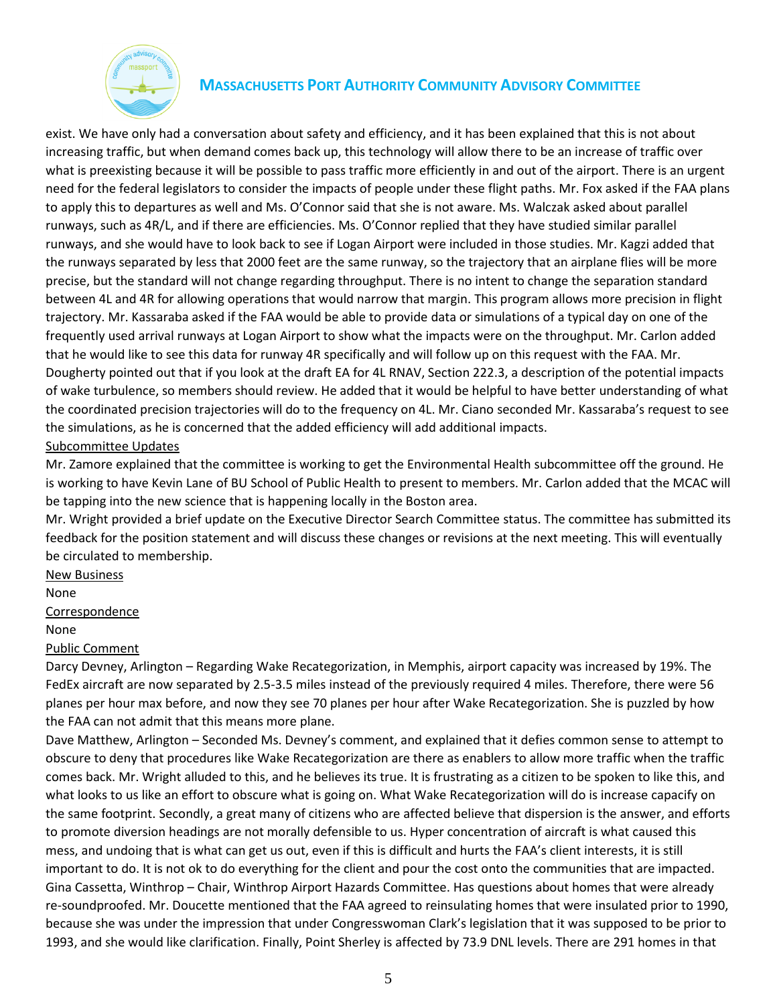

exist. We have only had a conversation about safety and efficiency, and it has been explained that this is not about increasing traffic, but when demand comes back up, this technology will allow there to be an increase of traffic over what is preexisting because it will be possible to pass traffic more efficiently in and out of the airport. There is an urgent need for the federal legislators to consider the impacts of people under these flight paths. Mr. Fox asked if the FAA plans to apply this to departures as well and Ms. O'Connor said that she is not aware. Ms. Walczak asked about parallel runways, such as 4R/L, and if there are efficiencies. Ms. O'Connor replied that they have studied similar parallel runways, and she would have to look back to see if Logan Airport were included in those studies. Mr. Kagzi added that the runways separated by less that 2000 feet are the same runway, so the trajectory that an airplane flies will be more precise, but the standard will not change regarding throughput. There is no intent to change the separation standard between 4L and 4R for allowing operations that would narrow that margin. This program allows more precision in flight trajectory. Mr. Kassaraba asked if the FAA would be able to provide data or simulations of a typical day on one of the frequently used arrival runways at Logan Airport to show what the impacts were on the throughput. Mr. Carlon added that he would like to see this data for runway 4R specifically and will follow up on this request with the FAA. Mr. Dougherty pointed out that if you look at the draft EA for 4L RNAV, Section 222.3, a description of the potential impacts of wake turbulence, so members should review. He added that it would be helpful to have better understanding of what the coordinated precision trajectories will do to the frequency on 4L. Mr. Ciano seconded Mr. Kassaraba's request to see the simulations, as he is concerned that the added efficiency will add additional impacts. Subcommittee Updates

Mr. Zamore explained that the committee is working to get the Environmental Health subcommittee off the ground. He is working to have Kevin Lane of BU School of Public Health to present to members. Mr. Carlon added that the MCAC will be tapping into the new science that is happening locally in the Boston area.

Mr. Wright provided a brief update on the Executive Director Search Committee status. The committee has submitted its feedback for the position statement and will discuss these changes or revisions at the next meeting. This will eventually be circulated to membership.

New Business

None

Correspondence

None

#### Public Comment

Darcy Devney, Arlington – Regarding Wake Recategorization, in Memphis, airport capacity was increased by 19%. The FedEx aircraft are now separated by 2.5-3.5 miles instead of the previously required 4 miles. Therefore, there were 56 planes per hour max before, and now they see 70 planes per hour after Wake Recategorization. She is puzzled by how the FAA can not admit that this means more plane.

Dave Matthew, Arlington – Seconded Ms. Devney's comment, and explained that it defies common sense to attempt to obscure to deny that procedures like Wake Recategorization are there as enablers to allow more traffic when the traffic comes back. Mr. Wright alluded to this, and he believes its true. It is frustrating as a citizen to be spoken to like this, and what looks to us like an effort to obscure what is going on. What Wake Recategorization will do is increase capacify on the same footprint. Secondly, a great many of citizens who are affected believe that dispersion is the answer, and efforts to promote diversion headings are not morally defensible to us. Hyper concentration of aircraft is what caused this mess, and undoing that is what can get us out, even if this is difficult and hurts the FAA's client interests, it is still important to do. It is not ok to do everything for the client and pour the cost onto the communities that are impacted. Gina Cassetta, Winthrop – Chair, Winthrop Airport Hazards Committee. Has questions about homes that were already re-soundproofed. Mr. Doucette mentioned that the FAA agreed to reinsulating homes that were insulated prior to 1990, because she was under the impression that under Congresswoman Clark's legislation that it was supposed to be prior to 1993, and she would like clarification. Finally, Point Sherley is affected by 73.9 DNL levels. There are 291 homes in that